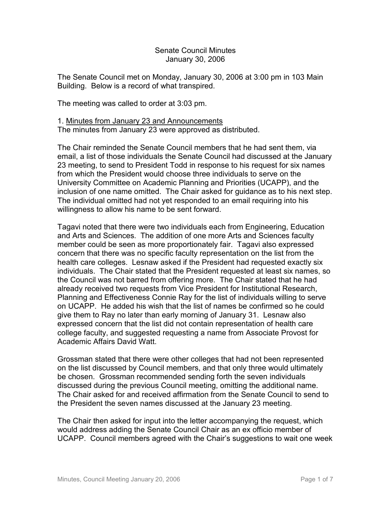## Senate Council Minutes January 30, 2006

The Senate Council met on Monday, January 30, 2006 at 3:00 pm in 103 Main Building. Below is a record of what transpired.

The meeting was called to order at 3:03 pm.

## 1. Minutes from January 23 and Announcements The minutes from January 23 were approved as distributed.

The Chair reminded the Senate Council members that he had sent them, via email, a list of those individuals the Senate Council had discussed at the January 23 meeting, to send to President Todd in response to his request for six names from which the President would choose three individuals to serve on the University Committee on Academic Planning and Priorities (UCAPP), and the inclusion of one name omitted. The Chair asked for guidance as to his next step. The individual omitted had not yet responded to an email requiring into his willingness to allow his name to be sent forward.

Tagavi noted that there were two individuals each from Engineering, Education and Arts and Sciences. The addition of one more Arts and Sciences faculty member could be seen as more proportionately fair. Tagavi also expressed concern that there was no specific faculty representation on the list from the health care colleges. Lesnaw asked if the President had requested exactly six individuals. The Chair stated that the President requested at least six names, so the Council was not barred from offering more. The Chair stated that he had already received two requests from Vice President for Institutional Research, Planning and Effectiveness Connie Ray for the list of individuals willing to serve on UCAPP. He added his wish that the list of names be confirmed so he could give them to Ray no later than early morning of January 31. Lesnaw also expressed concern that the list did not contain representation of health care college faculty, and suggested requesting a name from Associate Provost for Academic Affairs David Watt.

Grossman stated that there were other colleges that had not been represented on the list discussed by Council members, and that only three would ultimately be chosen. Grossman recommended sending forth the seven individuals discussed during the previous Council meeting, omitting the additional name. The Chair asked for and received affirmation from the Senate Council to send to the President the seven names discussed at the January 23 meeting.

The Chair then asked for input into the letter accompanying the request, which would address adding the Senate Council Chair as an ex officio member of UCAPP. Council members agreed with the Chair's suggestions to wait one week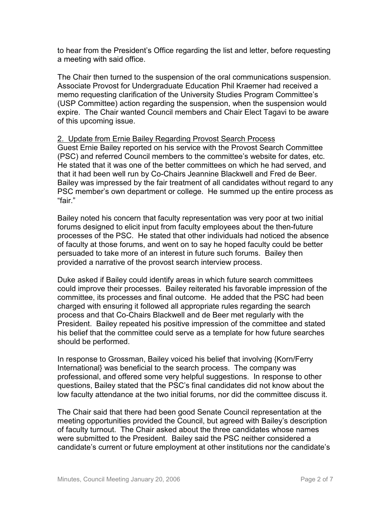to hear from the President's Office regarding the list and letter, before requesting a meeting with said office.

The Chair then turned to the suspension of the oral communications suspension. Associate Provost for Undergraduate Education Phil Kraemer had received a memo requesting clarification of the University Studies Program Committee's (USP Committee) action regarding the suspension, when the suspension would expire. The Chair wanted Council members and Chair Elect Tagavi to be aware of this upcoming issue.

## 2. Update from Ernie Bailey Regarding Provost Search Process

Guest Ernie Bailey reported on his service with the Provost Search Committee (PSC) and referred Council members to the committee's website for dates, etc. He stated that it was one of the better committees on which he had served, and that it had been well run by Co-Chairs Jeannine Blackwell and Fred de Beer. Bailey was impressed by the fair treatment of all candidates without regard to any PSC member's own department or college. He summed up the entire process as "fair."

Bailey noted his concern that faculty representation was very poor at two initial forums designed to elicit input from faculty employees about the then-future processes of the PSC. He stated that other individuals had noticed the absence of faculty at those forums, and went on to say he hoped faculty could be better persuaded to take more of an interest in future such forums. Bailey then provided a narrative of the provost search interview process.

Duke asked if Bailey could identify areas in which future search committees could improve their processes. Bailey reiterated his favorable impression of the committee, its processes and final outcome. He added that the PSC had been charged with ensuring it followed all appropriate rules regarding the search process and that Co-Chairs Blackwell and de Beer met regularly with the President. Bailey repeated his positive impression of the committee and stated his belief that the committee could serve as a template for how future searches should be performed.

In response to Grossman, Bailey voiced his belief that involving {Korn/Ferry International} was beneficial to the search process. The company was professional, and offered some very helpful suggestions. In response to other questions, Bailey stated that the PSC's final candidates did not know about the low faculty attendance at the two initial forums, nor did the committee discuss it.

The Chair said that there had been good Senate Council representation at the meeting opportunities provided the Council, but agreed with Bailey's description of faculty turnout. The Chair asked about the three candidates whose names were submitted to the President. Bailey said the PSC neither considered a candidate's current or future employment at other institutions nor the candidate's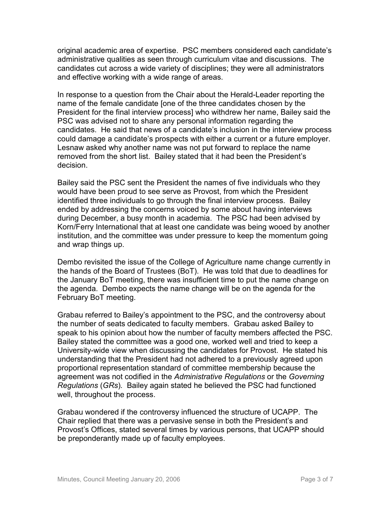original academic area of expertise. PSC members considered each candidate's administrative qualities as seen through curriculum vitae and discussions. The candidates cut across a wide variety of disciplines; they were all administrators and effective working with a wide range of areas.

In response to a question from the Chair about the Herald-Leader reporting the name of the female candidate [one of the three candidates chosen by the President for the final interview process] who withdrew her name, Bailey said the PSC was advised not to share any personal information regarding the candidates. He said that news of a candidate's inclusion in the interview process could damage a candidate's prospects with either a current or a future employer. Lesnaw asked why another name was not put forward to replace the name removed from the short list. Bailey stated that it had been the President's decision.

Bailey said the PSC sent the President the names of five individuals who they would have been proud to see serve as Provost, from which the President identified three individuals to go through the final interview process. Bailey ended by addressing the concerns voiced by some about having interviews during December, a busy month in academia. The PSC had been advised by Korn/Ferry International that at least one candidate was being wooed by another institution, and the committee was under pressure to keep the momentum going and wrap things up.

Dembo revisited the issue of the College of Agriculture name change currently in the hands of the Board of Trustees (BoT). He was told that due to deadlines for the January BoT meeting, there was insufficient time to put the name change on the agenda. Dembo expects the name change will be on the agenda for the February BoT meeting.

Grabau referred to Bailey's appointment to the PSC, and the controversy about the number of seats dedicated to faculty members. Grabau asked Bailey to speak to his opinion about how the number of faculty members affected the PSC. Bailey stated the committee was a good one, worked well and tried to keep a University-wide view when discussing the candidates for Provost. He stated his understanding that the President had not adhered to a previously agreed upon proportional representation standard of committee membership because the agreement was not codified in the *Administrative Regulations* or the *Governing Regulations* (*GRs*)*.* Bailey again stated he believed the PSC had functioned well, throughout the process.

Grabau wondered if the controversy influenced the structure of UCAPP. The Chair replied that there was a pervasive sense in both the President's and Provost's Offices, stated several times by various persons, that UCAPP should be preponderantly made up of faculty employees.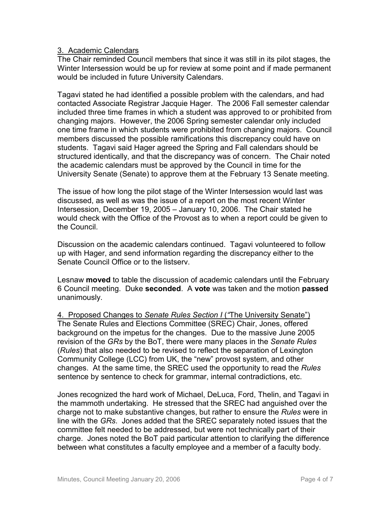## 3. Academic Calendars

The Chair reminded Council members that since it was still in its pilot stages, the Winter Intersession would be up for review at some point and if made permanent would be included in future University Calendars.

Tagavi stated he had identified a possible problem with the calendars, and had contacted Associate Registrar Jacquie Hager. The 2006 Fall semester calendar included three time frames in which a student was approved to or prohibited from changing majors. However, the 2006 Spring semester calendar only included one time frame in which students were prohibited from changing majors. Council members discussed the possible ramifications this discrepancy could have on students. Tagavi said Hager agreed the Spring and Fall calendars should be structured identically, and that the discrepancy was of concern. The Chair noted the academic calendars must be approved by the Council in time for the University Senate (Senate) to approve them at the February 13 Senate meeting.

The issue of how long the pilot stage of the Winter Intersession would last was discussed, as well as was the issue of a report on the most recent Winter Intersession, December 19, 2005 – January 10, 2006. The Chair stated he would check with the Office of the Provost as to when a report could be given to the Council.

Discussion on the academic calendars continued. Tagavi volunteered to follow up with Hager, and send information regarding the discrepancy either to the Senate Council Office or to the listserv.

Lesnaw **moved** to table the discussion of academic calendars until the February 6 Council meeting. Duke **seconded**. A **vote** was taken and the motion **passed** unanimously.

4. Proposed Changes to *Senate Rules Section I* (*"*The University Senate") The Senate Rules and Elections Committee (SREC) Chair, Jones, offered background on the impetus for the changes. Due to the massive June 2005 revision of the *GRs* by the BoT, there were many places in the *Senate Rules* (*Rules*) that also needed to be revised to reflect the separation of Lexington Community College (LCC) from UK, the "new" provost system, and other changes. At the same time, the SREC used the opportunity to read the *Rules* sentence by sentence to check for grammar, internal contradictions, etc.

Jones recognized the hard work of Michael, DeLuca, Ford, Thelin, and Tagavi in the mammoth undertaking. He stressed that the SREC had anguished over the charge not to make substantive changes, but rather to ensure the *Rules* were in line with the *GRs*. Jones added that the SREC separately noted issues that the committee felt needed to be addressed, but were not technically part of their charge. Jones noted the BoT paid particular attention to clarifying the difference between what constitutes a faculty employee and a member of a faculty body.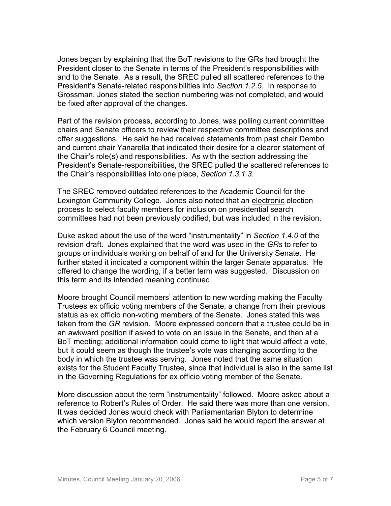Jones began by explaining that the BoT revisions to the GRs had brought the President closer to the Senate in terms of the President's responsibilities with and to the Senate. As a result, the SREC pulled all scattered references to the President's Senate-related responsibilities into *Section 1.2.5*. In response to Grossman, Jones stated the section numbering was not completed, and would be fixed after approval of the changes.

Part of the revision process, according to Jones, was polling current committee chairs and Senate officers to review their respective committee descriptions and offer suggestions. He said he had received statements from past chair Dembo and current chair Yanarella that indicated their desire for a clearer statement of the Chair's role(s) and responsibilities. As with the section addressing the President's Senate-responsibilities, the SREC pulled the scattered references to the Chair's responsibilities into one place, *Section 1.3.1.3.*

The SREC removed outdated references to the Academic Council for the Lexington Community College. Jones also noted that an electronic election process to select faculty members for inclusion on presidential search committees had not been previously codified, but was included in the revision.

Duke asked about the use of the word "instrumentality" in *Section 1.4.0* of the revision draft. Jones explained that the word was used in the *GRs* to refer to groups or individuals working on behalf of and for the University Senate. He further stated it indicated a component within the larger Senate apparatus. He offered to change the wording, if a better term was suggested. Discussion on this term and its intended meaning continued.

Moore brought Council members' attention to new wording making the Faculty Trustees ex officio voting members of the Senate, a change from their previous status as ex officio non-voting members of the Senate. Jones stated this was taken from the *GR* revision. Moore expressed concern that a trustee could be in an awkward position if asked to vote on an issue in the Senate, and then at a BoT meeting; additional information could come to light that would affect a vote, but it could seem as though the trustee's vote was changing according to the body in which the trustee was serving. Jones noted that the same situation exists for the Student Faculty Trustee, since that individual is also in the same list in the Governing Regulations for ex officio voting member of the Senate.

More discussion about the term "instrumentality" followed. Moore asked about a reference to Robert's Rules of Order. He said there was more than one version. It was decided Jones would check with Parliamentarian Blyton to determine which version Blyton recommended. Jones said he would report the answer at the February 6 Council meeting.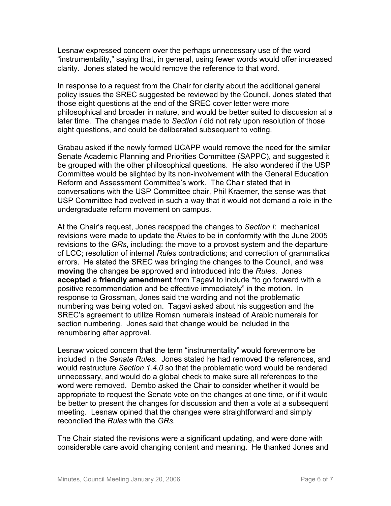Lesnaw expressed concern over the perhaps unnecessary use of the word "instrumentality," saying that, in general, using fewer words would offer increased clarity. Jones stated he would remove the reference to that word.

In response to a request from the Chair for clarity about the additional general policy issues the SREC suggested be reviewed by the Council, Jones stated that those eight questions at the end of the SREC cover letter were more philosophical and broader in nature, and would be better suited to discussion at a later time. The changes made to *Section I* did not rely upon resolution of those eight questions, and could be deliberated subsequent to voting.

Grabau asked if the newly formed UCAPP would remove the need for the similar Senate Academic Planning and Priorities Committee (SAPPC), and suggested it be grouped with the other philosophical questions. He also wondered if the USP Committee would be slighted by its non-involvement with the General Education Reform and Assessment Committee's work. The Chair stated that in conversations with the USP Committee chair, Phil Kraemer, the sense was that USP Committee had evolved in such a way that it would not demand a role in the undergraduate reform movement on campus.

At the Chair's request, Jones recapped the changes to *Section I*: mechanical revisions were made to update the *Rules* to be in conformity with the June 2005 revisions to the *GRs*, including: the move to a provost system and the departure of LCC; resolution of internal *Rules* contradictions; and correction of grammatical errors. He stated the SREC was bringing the changes to the Council, and was **moving** the changes be approved and introduced into the *Rules*. Jones **accepted** a **friendly amendment** from Tagavi to include "to go forward with a positive recommendation and be effective immediately" in the motion. In response to Grossman, Jones said the wording and not the problematic numbering was being voted on. Tagavi asked about his suggestion and the SREC's agreement to utilize Roman numerals instead of Arabic numerals for section numbering. Jones said that change would be included in the renumbering after approval.

Lesnaw voiced concern that the term "instrumentality" would forevermore be included in the *Senate Rules.* Jones stated he had removed the references, and would restructure *Section 1.4.0* so that the problematic word would be rendered unnecessary, and would do a global check to make sure all references to the word were removed. Dembo asked the Chair to consider whether it would be appropriate to request the Senate vote on the changes at one time, or if it would be better to present the changes for discussion and then a vote at a subsequent meeting. Lesnaw opined that the changes were straightforward and simply reconciled the *Rules* with the *GRs*.

The Chair stated the revisions were a significant updating, and were done with considerable care avoid changing content and meaning. He thanked Jones and